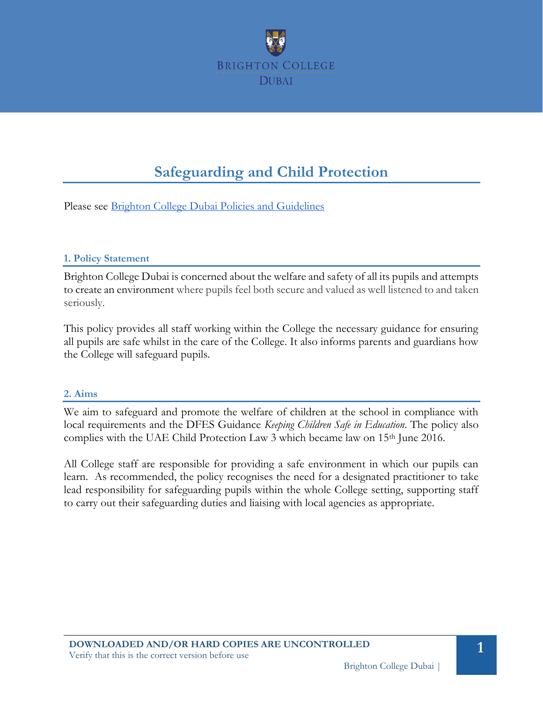

# **Safeguarding and Child Protection**

Please see [Brighton College Dubai Policies and Guidelines](https://docs.google.com/document/d/1y39CeqRiuNsBG6bVYVJ-qV9OhErt-MWICQ1XAbjfIgk/edit#heading=h.gdjqyhvwatyx) 

#### **1. Policy Statement**

Brighton College Dubai is concerned about the welfare and safety of all its pupils and attempts to create an environment where pupils feel both secure and valued as well listened to and taken seriously.

This policy provides all staff working within the College the necessary guidance for ensuring all pupils are safe whilst in the care of the College. It also informs parents and guardians how the College will safeguard pupils.

#### **2. Aims**

We aim to safeguard and promote the welfare of children at the school in compliance with local requirements and the DFES Guidance *Keeping Children Safe in Education*. The policy also complies with the UAE Child Protection Law 3 which became law on 15<sup>th</sup> June 2016.

All College staff are responsible for providing a safe environment in which our pupils can learn. As recommended, the policy recognises the need for a designated practitioner to take lead responsibility for safeguarding pupils within the whole College setting, supporting staff to carry out their safeguarding duties and liaising with local agencies as appropriate.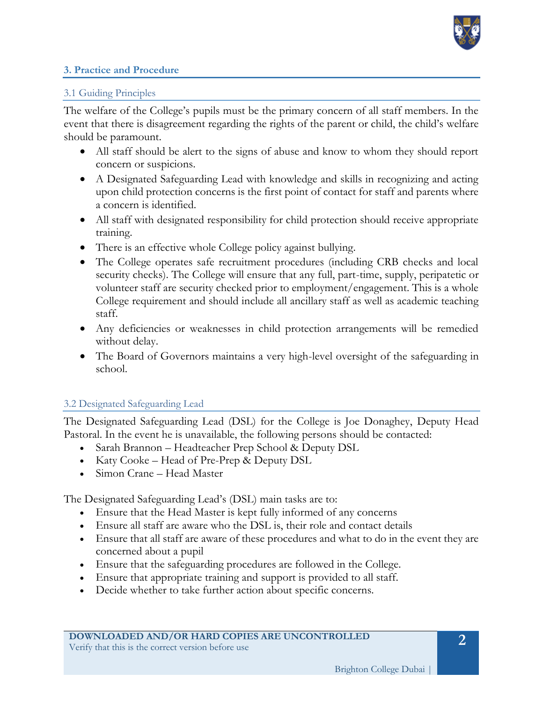

#### **3. Practice and Procedure**

#### 3.1 Guiding Principles

The welfare of the College's pupils must be the primary concern of all staff members. In the event that there is disagreement regarding the rights of the parent or child, the child's welfare should be paramount.

- All staff should be alert to the signs of abuse and know to whom they should report concern or suspicions.
- A Designated Safeguarding Lead with knowledge and skills in recognizing and acting upon child protection concerns is the first point of contact for staff and parents where a concern is identified.
- All staff with designated responsibility for child protection should receive appropriate training.
- There is an effective whole College policy against bullying.
- The College operates safe recruitment procedures (including CRB checks and local security checks). The College will ensure that any full, part-time, supply, peripatetic or volunteer staff are security checked prior to employment/engagement. This is a whole College requirement and should include all ancillary staff as well as academic teaching staff.
- Any deficiencies or weaknesses in child protection arrangements will be remedied without delay.
- The Board of Governors maintains a very high-level oversight of the safeguarding in school.

## 3.2 Designated Safeguarding Lead

The Designated Safeguarding Lead (DSL) for the College is Joe Donaghey, Deputy Head Pastoral. In the event he is unavailable, the following persons should be contacted:

- Sarah Brannon Headteacher Prep School & Deputy DSL
- Katy Cooke Head of Pre-Prep & Deputy DSL
- Simon Crane Head Master

The Designated Safeguarding Lead's (DSL) main tasks are to:

- Ensure that the Head Master is kept fully informed of any concerns
- Ensure all staff are aware who the DSL is, their role and contact details
- Ensure that all staff are aware of these procedures and what to do in the event they are concerned about a pupil
- Ensure that the safeguarding procedures are followed in the College.
- Ensure that appropriate training and support is provided to all staff.
- Decide whether to take further action about specific concerns.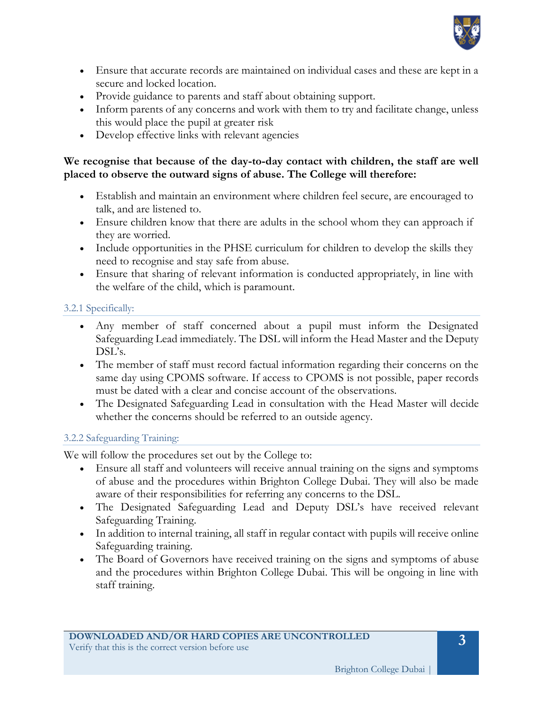

- Ensure that accurate records are maintained on individual cases and these are kept in a secure and locked location.
- Provide guidance to parents and staff about obtaining support.
- Inform parents of any concerns and work with them to try and facilitate change, unless this would place the pupil at greater risk
- Develop effective links with relevant agencies

## **We recognise that because of the day-to-day contact with children, the staff are well placed to observe the outward signs of abuse. The College will therefore:**

- Establish and maintain an environment where children feel secure, are encouraged to talk, and are listened to.
- Ensure children know that there are adults in the school whom they can approach if they are worried.
- Include opportunities in the PHSE curriculum for children to develop the skills they need to recognise and stay safe from abuse.
- Ensure that sharing of relevant information is conducted appropriately, in line with the welfare of the child, which is paramount.

## 3.2.1 Specifically:

- Any member of staff concerned about a pupil must inform the Designated Safeguarding Lead immediately. The DSL will inform the Head Master and the Deputy DSL's.
- The member of staff must record factual information regarding their concerns on the same day using CPOMS software. If access to CPOMS is not possible, paper records must be dated with a clear and concise account of the observations.
- The Designated Safeguarding Lead in consultation with the Head Master will decide whether the concerns should be referred to an outside agency.

## 3.2.2 Safeguarding Training:

We will follow the procedures set out by the College to:

- Ensure all staff and volunteers will receive annual training on the signs and symptoms of abuse and the procedures within Brighton College Dubai. They will also be made aware of their responsibilities for referring any concerns to the DSL.
- The Designated Safeguarding Lead and Deputy DSL's have received relevant Safeguarding Training.
- In addition to internal training, all staff in regular contact with pupils will receive online Safeguarding training.
- The Board of Governors have received training on the signs and symptoms of abuse and the procedures within Brighton College Dubai. This will be ongoing in line with staff training.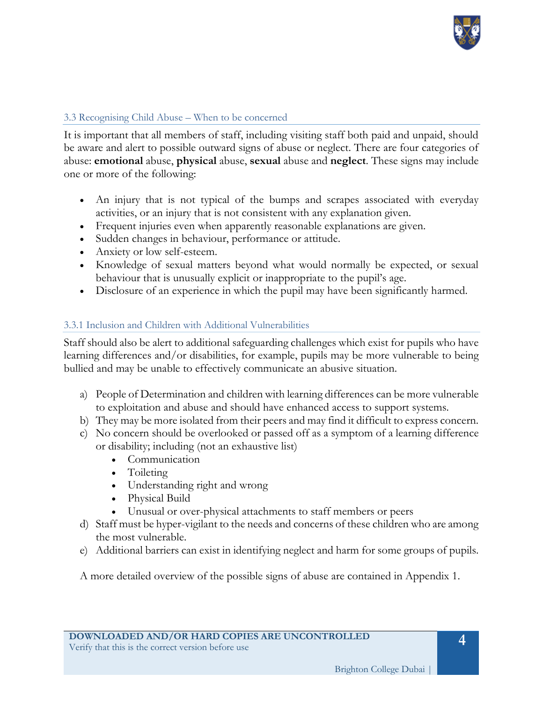

## 3.3 Recognising Child Abuse – When to be concerned

It is important that all members of staff, including visiting staff both paid and unpaid, should be aware and alert to possible outward signs of abuse or neglect. There are four categories of abuse: **emotional** abuse, **physical** abuse, **sexual** abuse and **neglect**. These signs may include one or more of the following:

- An injury that is not typical of the bumps and scrapes associated with everyday activities, or an injury that is not consistent with any explanation given.
- Frequent injuries even when apparently reasonable explanations are given.
- Sudden changes in behaviour, performance or attitude.
- Anxiety or low self-esteem.
- Knowledge of sexual matters beyond what would normally be expected, or sexual behaviour that is unusually explicit or inappropriate to the pupil's age.
- Disclosure of an experience in which the pupil may have been significantly harmed.

## 3.3.1 Inclusion and Children with Additional Vulnerabilities

Staff should also be alert to additional safeguarding challenges which exist for pupils who have learning differences and/or disabilities, for example, pupils may be more vulnerable to being bullied and may be unable to effectively communicate an abusive situation.

- a) People of Determination and children with learning differences can be more vulnerable to exploitation and abuse and should have enhanced access to support systems.
- b) They may be more isolated from their peers and may find it difficult to express concern.
- c) No concern should be overlooked or passed off as a symptom of a learning difference or disability; including (not an exhaustive list)
	- Communication
	- Toileting
	- Understanding right and wrong
	- Physical Build
	- Unusual or over-physical attachments to staff members or peers
- d) Staff must be hyper-vigilant to the needs and concerns of these children who are among the most vulnerable.
- e) Additional barriers can exist in identifying neglect and harm for some groups of pupils.

A more detailed overview of the possible signs of abuse are contained in Appendix 1.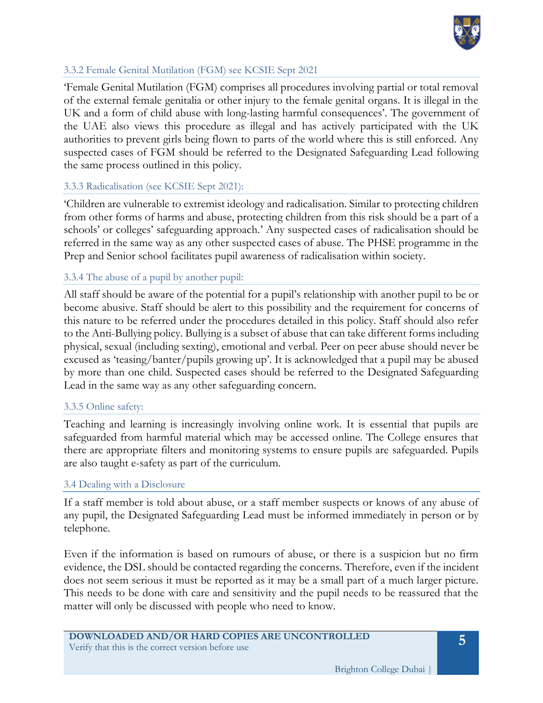

#### 3.3.2 Female Genital Mutilation (FGM) see KCSIE Sept 2021

'Female Genital Mutilation (FGM) comprises all procedures involving partial or total removal of the external female genitalia or other injury to the female genital organs. It is illegal in the UK and a form of child abuse with long-lasting harmful consequences'. The government of the UAE also views this procedure as illegal and has actively participated with the UK authorities to prevent girls being flown to parts of the world where this is still enforced. Any suspected cases of FGM should be referred to the Designated Safeguarding Lead following the same process outlined in this policy.

#### 3.3.3 Radicalisation (see KCSIE Sept 2021):

'Children are vulnerable to extremist ideology and radicalisation. Similar to protecting children from other forms of harms and abuse, protecting children from this risk should be a part of a schools' or colleges' safeguarding approach.' Any suspected cases of radicalisation should be referred in the same way as any other suspected cases of abuse. The PHSE programme in the Prep and Senior school facilitates pupil awareness of radicalisation within society.

#### 3.3.4 The abuse of a pupil by another pupil:

All staff should be aware of the potential for a pupil's relationship with another pupil to be or become abusive. Staff should be alert to this possibility and the requirement for concerns of this nature to be referred under the procedures detailed in this policy. Staff should also refer to the Anti-Bullying policy. Bullying is a subset of abuse that can take different forms including physical, sexual (including sexting), emotional and verbal. Peer on peer abuse should never be excused as 'teasing/banter/pupils growing up'. It is acknowledged that a pupil may be abused by more than one child. Suspected cases should be referred to the Designated Safeguarding Lead in the same way as any other safeguarding concern.

#### 3.3.5 Online safety:

Teaching and learning is increasingly involving online work. It is essential that pupils are safeguarded from harmful material which may be accessed online. The College ensures that there are appropriate filters and monitoring systems to ensure pupils are safeguarded. Pupils are also taught e-safety as part of the curriculum.

#### 3.4 Dealing with a Disclosure

If a staff member is told about abuse, or a staff member suspects or knows of any abuse of any pupil, the Designated Safeguarding Lead must be informed immediately in person or by telephone.

Even if the information is based on rumours of abuse, or there is a suspicion but no firm evidence, the DSL should be contacted regarding the concerns. Therefore, even if the incident does not seem serious it must be reported as it may be a small part of a much larger picture. This needs to be done with care and sensitivity and the pupil needs to be reassured that the matter will only be discussed with people who need to know.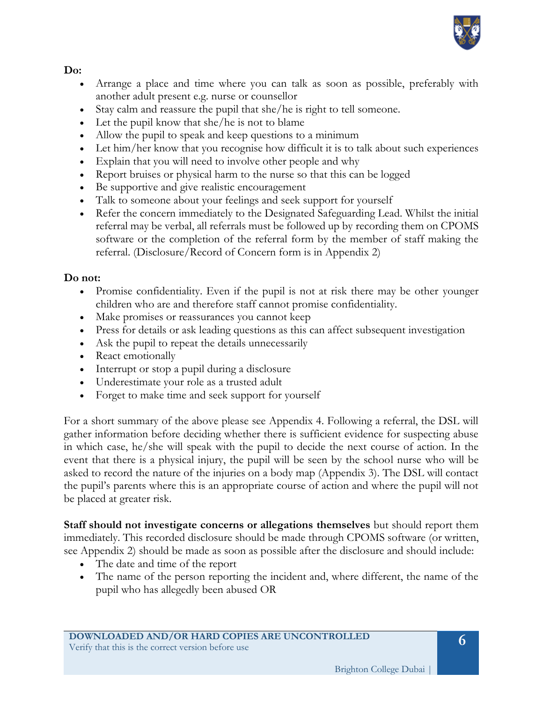

## **Do:**

- Arrange a place and time where you can talk as soon as possible, preferably with another adult present e.g. nurse or counsellor
- Stay calm and reassure the pupil that she/he is right to tell someone.
- Let the pupil know that she/he is not to blame
- Allow the pupil to speak and keep questions to a minimum
- Let him/her know that you recognise how difficult it is to talk about such experiences
- Explain that you will need to involve other people and why
- Report bruises or physical harm to the nurse so that this can be logged
- Be supportive and give realistic encouragement
- Talk to someone about your feelings and seek support for yourself
- Refer the concern immediately to the Designated Safeguarding Lead. Whilst the initial referral may be verbal, all referrals must be followed up by recording them on CPOMS software or the completion of the referral form by the member of staff making the referral. (Disclosure/Record of Concern form is in Appendix 2)

## **Do not:**

- Promise confidentiality. Even if the pupil is not at risk there may be other younger children who are and therefore staff cannot promise confidentiality.
- Make promises or reassurances you cannot keep
- Press for details or ask leading questions as this can affect subsequent investigation
- Ask the pupil to repeat the details unnecessarily
- React emotionally
- Interrupt or stop a pupil during a disclosure
- Underestimate your role as a trusted adult
- Forget to make time and seek support for yourself

For a short summary of the above please see Appendix 4. Following a referral, the DSL will gather information before deciding whether there is sufficient evidence for suspecting abuse in which case, he/she will speak with the pupil to decide the next course of action. In the event that there is a physical injury, the pupil will be seen by the school nurse who will be asked to record the nature of the injuries on a body map (Appendix 3). The DSL will contact the pupil's parents where this is an appropriate course of action and where the pupil will not be placed at greater risk.

**Staff should not investigate concerns or allegations themselves** but should report them immediately. This recorded disclosure should be made through CPOMS software (or written, see Appendix 2) should be made as soon as possible after the disclosure and should include:

- The date and time of the report
- The name of the person reporting the incident and, where different, the name of the pupil who has allegedly been abused OR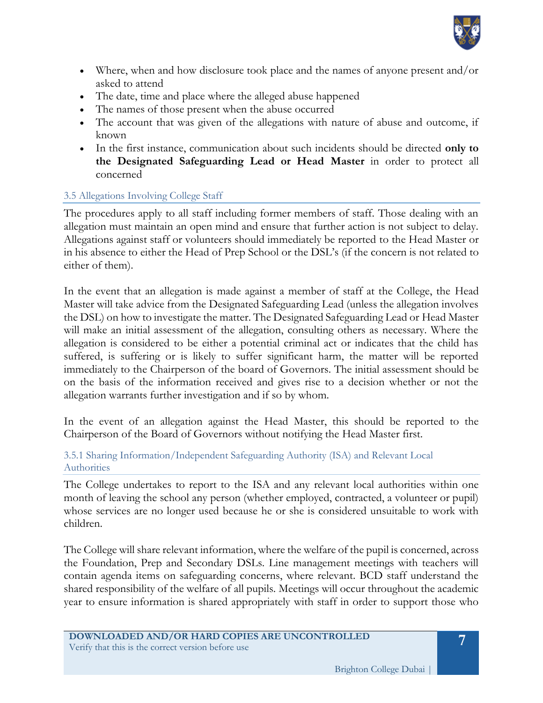

- Where, when and how disclosure took place and the names of anyone present and/or asked to attend
- The date, time and place where the alleged abuse happened
- The names of those present when the abuse occurred
- The account that was given of the allegations with nature of abuse and outcome, if known
- In the first instance, communication about such incidents should be directed **only to the Designated Safeguarding Lead or Head Master** in order to protect all concerned

## 3.5 Allegations Involving College Staff

The procedures apply to all staff including former members of staff. Those dealing with an allegation must maintain an open mind and ensure that further action is not subject to delay. Allegations against staff or volunteers should immediately be reported to the Head Master or in his absence to either the Head of Prep School or the DSL's (if the concern is not related to either of them).

In the event that an allegation is made against a member of staff at the College, the Head Master will take advice from the Designated Safeguarding Lead (unless the allegation involves the DSL) on how to investigate the matter. The Designated Safeguarding Lead or Head Master will make an initial assessment of the allegation, consulting others as necessary. Where the allegation is considered to be either a potential criminal act or indicates that the child has suffered, is suffering or is likely to suffer significant harm, the matter will be reported immediately to the Chairperson of the board of Governors. The initial assessment should be on the basis of the information received and gives rise to a decision whether or not the allegation warrants further investigation and if so by whom.

In the event of an allegation against the Head Master, this should be reported to the Chairperson of the Board of Governors without notifying the Head Master first.

3.5.1 Sharing Information/Independent Safeguarding Authority (ISA) and Relevant Local Authorities

The College undertakes to report to the ISA and any relevant local authorities within one month of leaving the school any person (whether employed, contracted, a volunteer or pupil) whose services are no longer used because he or she is considered unsuitable to work with children.

The College will share relevant information, where the welfare of the pupil is concerned, across the Foundation, Prep and Secondary DSLs. Line management meetings with teachers will contain agenda items on safeguarding concerns, where relevant. BCD staff understand the shared responsibility of the welfare of all pupils. Meetings will occur throughout the academic year to ensure information is shared appropriately with staff in order to support those who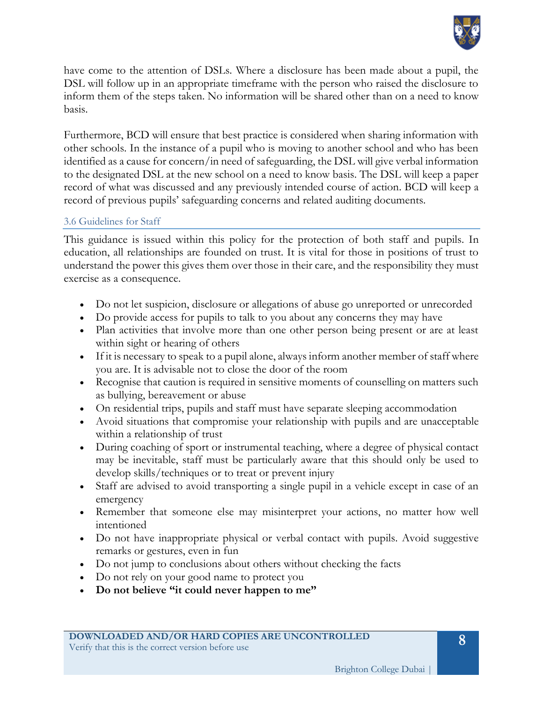

have come to the attention of DSLs. Where a disclosure has been made about a pupil, the DSL will follow up in an appropriate timeframe with the person who raised the disclosure to inform them of the steps taken. No information will be shared other than on a need to know basis.

Furthermore, BCD will ensure that best practice is considered when sharing information with other schools. In the instance of a pupil who is moving to another school and who has been identified as a cause for concern/in need of safeguarding, the DSL will give verbal information to the designated DSL at the new school on a need to know basis. The DSL will keep a paper record of what was discussed and any previously intended course of action. BCD will keep a record of previous pupils' safeguarding concerns and related auditing documents.

#### 3.6 Guidelines for Staff

This guidance is issued within this policy for the protection of both staff and pupils. In education, all relationships are founded on trust. It is vital for those in positions of trust to understand the power this gives them over those in their care, and the responsibility they must exercise as a consequence.

- Do not let suspicion, disclosure or allegations of abuse go unreported or unrecorded
- Do provide access for pupils to talk to you about any concerns they may have
- Plan activities that involve more than one other person being present or are at least within sight or hearing of others
- If it is necessary to speak to a pupil alone, always inform another member of staff where you are. It is advisable not to close the door of the room
- Recognise that caution is required in sensitive moments of counselling on matters such as bullying, bereavement or abuse
- On residential trips, pupils and staff must have separate sleeping accommodation
- Avoid situations that compromise your relationship with pupils and are unacceptable within a relationship of trust
- During coaching of sport or instrumental teaching, where a degree of physical contact may be inevitable, staff must be particularly aware that this should only be used to develop skills/techniques or to treat or prevent injury
- Staff are advised to avoid transporting a single pupil in a vehicle except in case of an emergency
- Remember that someone else may misinterpret your actions, no matter how well intentioned
- Do not have inappropriate physical or verbal contact with pupils. Avoid suggestive remarks or gestures, even in fun
- Do not jump to conclusions about others without checking the facts
- Do not rely on your good name to protect you
- **Do not believe "it could never happen to me"**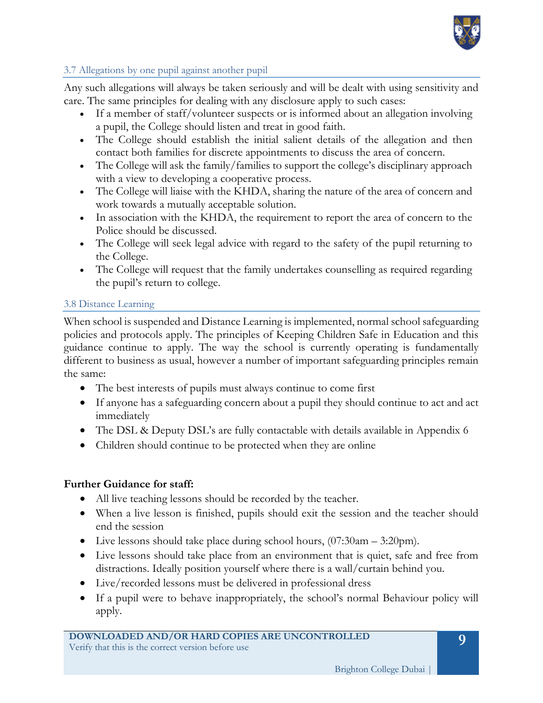

## 3.7 Allegations by one pupil against another pupil

Any such allegations will always be taken seriously and will be dealt with using sensitivity and care. The same principles for dealing with any disclosure apply to such cases:

- If a member of staff/volunteer suspects or is informed about an allegation involving a pupil, the College should listen and treat in good faith.
- The College should establish the initial salient details of the allegation and then contact both families for discrete appointments to discuss the area of concern.
- The College will ask the family/families to support the college's disciplinary approach with a view to developing a cooperative process.
- The College will liaise with the KHDA, sharing the nature of the area of concern and work towards a mutually acceptable solution.
- In association with the KHDA, the requirement to report the area of concern to the Police should be discussed.
- The College will seek legal advice with regard to the safety of the pupil returning to the College.
- The College will request that the family undertakes counselling as required regarding the pupil's return to college.

## 3.8 Distance Learning

When school is suspended and Distance Learning is implemented, normal school safeguarding policies and protocols apply. The principles of Keeping Children Safe in Education and this guidance continue to apply. The way the school is currently operating is fundamentally different to business as usual, however a number of important safeguarding principles remain the same:

- The best interests of pupils must always continue to come first
- If anyone has a safeguarding concern about a pupil they should continue to act and act immediately
- The DSL & Deputy DSL's are fully contactable with details available in Appendix 6
- Children should continue to be protected when they are online

## **Further Guidance for staff:**

- All live teaching lessons should be recorded by the teacher.
- When a live lesson is finished, pupils should exit the session and the teacher should end the session
- Live lessons should take place during school hours, (07:30am 3:20pm).
- Live lessons should take place from an environment that is quiet, safe and free from distractions. Ideally position yourself where there is a wall/curtain behind you.
- Live/recorded lessons must be delivered in professional dress
- If a pupil were to behave inappropriately, the school's normal Behaviour policy will apply.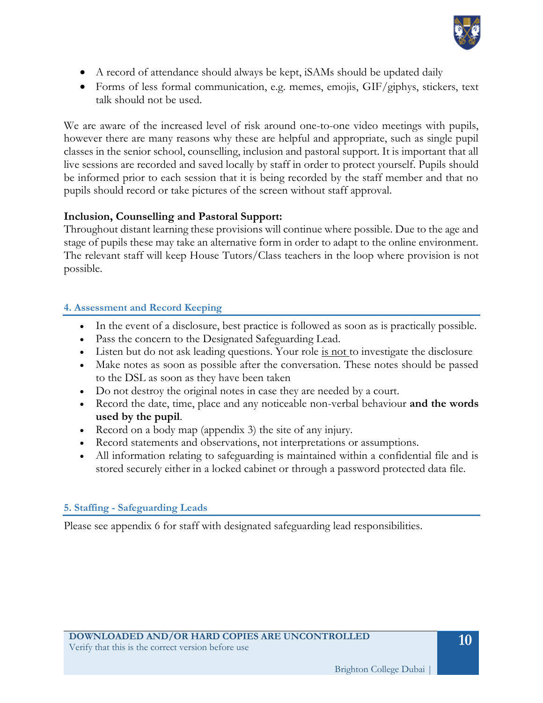

- A record of attendance should always be kept, iSAMs should be updated daily
- Forms of less formal communication, e.g. memes, emojis, GIF/giphys, stickers, text talk should not be used.

We are aware of the increased level of risk around one-to-one video meetings with pupils, however there are many reasons why these are helpful and appropriate, such as single pupil classes in the senior school, counselling, inclusion and pastoral support. It is important that all live sessions are recorded and saved locally by staff in order to protect yourself. Pupils should be informed prior to each session that it is being recorded by the staff member and that no pupils should record or take pictures of the screen without staff approval.

## **Inclusion, Counselling and Pastoral Support:**

Throughout distant learning these provisions will continue where possible. Due to the age and stage of pupils these may take an alternative form in order to adapt to the online environment. The relevant staff will keep House Tutors/Class teachers in the loop where provision is not possible.

## **4. Assessment and Record Keeping**

- In the event of a disclosure, best practice is followed as soon as is practically possible.
- Pass the concern to the Designated Safeguarding Lead.
- Listen but do not ask leading questions. Your role is not to investigate the disclosure
- Make notes as soon as possible after the conversation. These notes should be passed to the DSL as soon as they have been taken
- Do not destroy the original notes in case they are needed by a court.
- Record the date, time, place and any noticeable non-verbal behaviour **and the words used by the pupil**.
- Record on a body map (appendix 3) the site of any injury.
- Record statements and observations, not interpretations or assumptions.
- All information relating to safeguarding is maintained within a confidential file and is stored securely either in a locked cabinet or through a password protected data file.

## **5. Staffing - Safeguarding Leads**

Please see appendix 6 for staff with designated safeguarding lead responsibilities.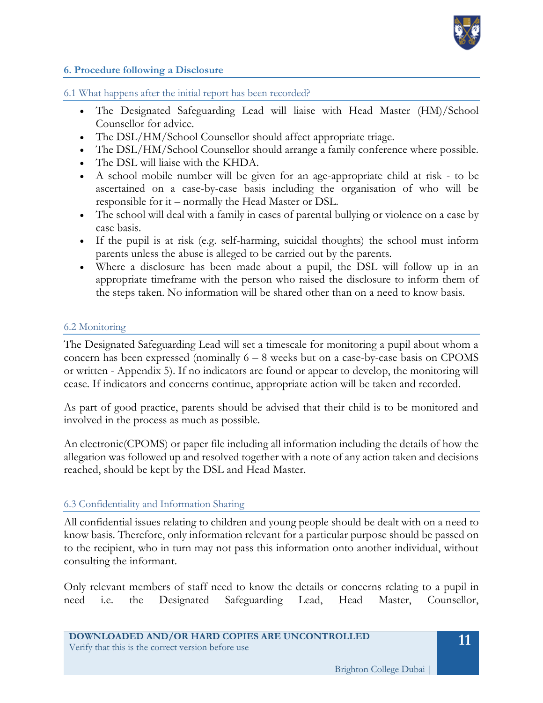

#### **6. Procedure following a Disclosure**

6.1 What happens after the initial report has been recorded?

- The Designated Safeguarding Lead will liaise with Head Master (HM)/School Counsellor for advice.
- The DSL/HM/School Counsellor should affect appropriate triage.
- The DSL/HM/School Counsellor should arrange a family conference where possible.
- The DSL will liaise with the KHDA.
- A school mobile number will be given for an age-appropriate child at risk to be ascertained on a case-by-case basis including the organisation of who will be responsible for it – normally the Head Master or DSL.
- The school will deal with a family in cases of parental bullying or violence on a case by case basis.
- If the pupil is at risk (e.g. self-harming, suicidal thoughts) the school must inform parents unless the abuse is alleged to be carried out by the parents.
- Where a disclosure has been made about a pupil, the DSL will follow up in an appropriate timeframe with the person who raised the disclosure to inform them of the steps taken. No information will be shared other than on a need to know basis.

#### 6.2 Monitoring

The Designated Safeguarding Lead will set a timescale for monitoring a pupil about whom a concern has been expressed (nominally  $6 - 8$  weeks but on a case-by-case basis on CPOMS or written - Appendix 5). If no indicators are found or appear to develop, the monitoring will cease. If indicators and concerns continue, appropriate action will be taken and recorded.

As part of good practice, parents should be advised that their child is to be monitored and involved in the process as much as possible.

An electronic(CPOMS) or paper file including all information including the details of how the allegation was followed up and resolved together with a note of any action taken and decisions reached, should be kept by the DSL and Head Master.

#### 6.3 Confidentiality and Information Sharing

All confidential issues relating to children and young people should be dealt with on a need to know basis. Therefore, only information relevant for a particular purpose should be passed on to the recipient, who in turn may not pass this information onto another individual, without consulting the informant.

Only relevant members of staff need to know the details or concerns relating to a pupil in need i.e. the Designated Safeguarding Lead, Head Master, Counsellor,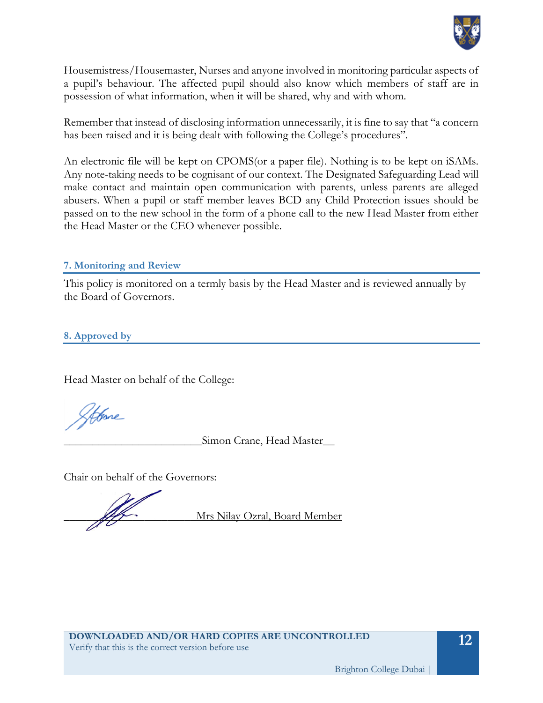

Housemistress/Housemaster, Nurses and anyone involved in monitoring particular aspects of a pupil's behaviour. The affected pupil should also know which members of staff are in possession of what information, when it will be shared, why and with whom.

Remember that instead of disclosing information unnecessarily, it is fine to say that "a concern has been raised and it is being dealt with following the College's procedures".

An electronic file will be kept on CPOMS(or a paper file). Nothing is to be kept on iSAMs. Any note-taking needs to be cognisant of our context. The Designated Safeguarding Lead will make contact and maintain open communication with parents, unless parents are alleged abusers. When a pupil or staff member leaves BCD any Child Protection issues should be passed on to the new school in the form of a phone call to the new Head Master from either the Head Master or the CEO whenever possible.

#### **7. Monitoring and Review**

This policy is monitored on a termly basis by the Head Master and is reviewed annually by the Board of Governors.

**8. Approved by**

Head Master on behalf of the College:

Afore

Simon Crane, Head Master

Chair on behalf of the Governors:

Mrs Nilay Ozral, Board Member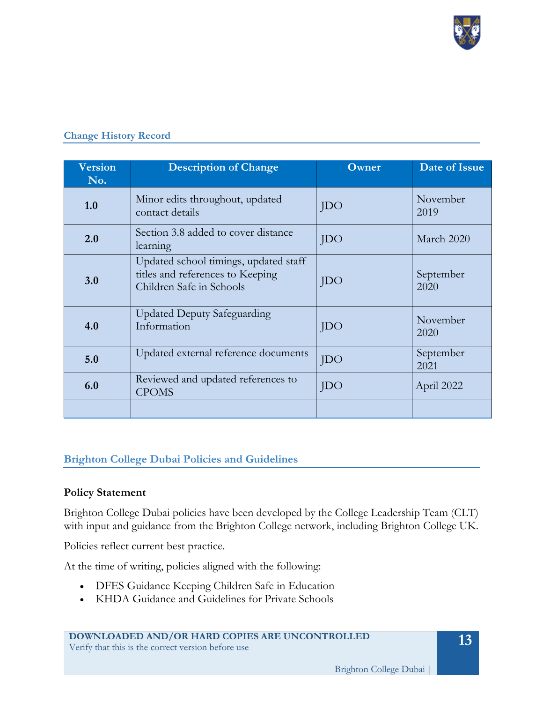

| <b>Version</b><br>No. | <b>Description of Change</b>                                                                          | Owner      | Date of Issue     |
|-----------------------|-------------------------------------------------------------------------------------------------------|------------|-------------------|
| 1.0                   | Minor edits throughout, updated<br>contact details                                                    | <b>JDO</b> | November<br>2019  |
| 2.0                   | Section 3.8 added to cover distance<br>learning                                                       | <b>JDO</b> | March 2020        |
| 3.0                   | Updated school timings, updated staff<br>titles and references to Keeping<br>Children Safe in Schools | <b>JDO</b> | September<br>2020 |
| 4.0                   | <b>Updated Deputy Safeguarding</b><br>Information                                                     | JDO        | November<br>2020  |
| 5.0                   | Updated external reference documents                                                                  | JDO        | September<br>2021 |
| 6.0                   | Reviewed and updated references to<br><b>CPOMS</b>                                                    | <b>JDO</b> | April 2022        |
|                       |                                                                                                       |            |                   |

## **Change History Record**

## **Brighton College Dubai Policies and Guidelines**

#### **Policy Statement**

Brighton College Dubai policies have been developed by the College Leadership Team (CLT) with input and guidance from the Brighton College network, including Brighton College UK.

Policies reflect current best practice.

At the time of writing, policies aligned with the following:

- DFES Guidance Keeping Children Safe in Education
- KHDA Guidance and Guidelines for Private Schools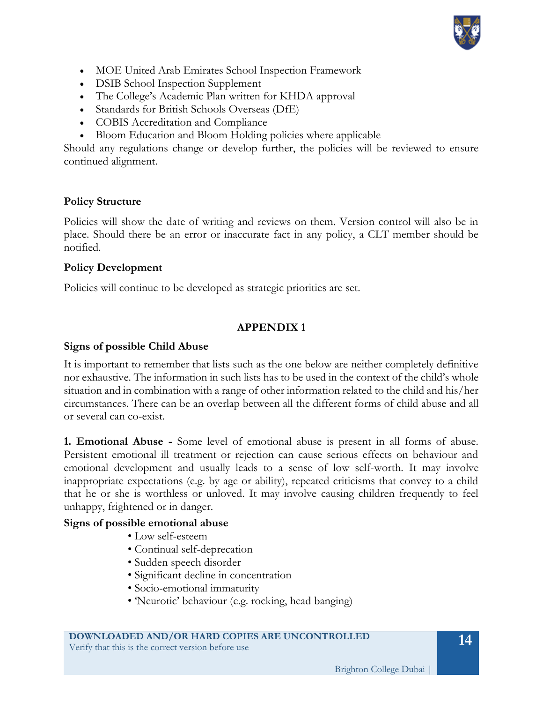

- MOE United Arab Emirates School Inspection Framework
- **DSIB School Inspection Supplement**
- The College's Academic Plan written for KHDA approval
- Standards for British Schools Overseas (DfE)
- COBIS Accreditation and Compliance
- Bloom Education and Bloom Holding policies where applicable

Should any regulations change or develop further, the policies will be reviewed to ensure continued alignment.

## **Policy Structure**

Policies will show the date of writing and reviews on them. Version control will also be in place. Should there be an error or inaccurate fact in any policy, a CLT member should be notified.

#### **Policy Development**

Policies will continue to be developed as strategic priorities are set.

## **APPENDIX 1**

## **Signs of possible Child Abuse**

It is important to remember that lists such as the one below are neither completely definitive nor exhaustive. The information in such lists has to be used in the context of the child's whole situation and in combination with a range of other information related to the child and his/her circumstances. There can be an overlap between all the different forms of child abuse and all or several can co-exist.

**1. Emotional Abuse -** Some level of emotional abuse is present in all forms of abuse. Persistent emotional ill treatment or rejection can cause serious effects on behaviour and emotional development and usually leads to a sense of low self-worth. It may involve inappropriate expectations (e.g. by age or ability), repeated criticisms that convey to a child that he or she is worthless or unloved. It may involve causing children frequently to feel unhappy, frightened or in danger.

## **Signs of possible emotional abuse**

- Low self-esteem
- Continual self-deprecation
- Sudden speech disorder
- Significant decline in concentration
- Socio-emotional immaturity
- 'Neurotic' behaviour (e.g. rocking, head banging)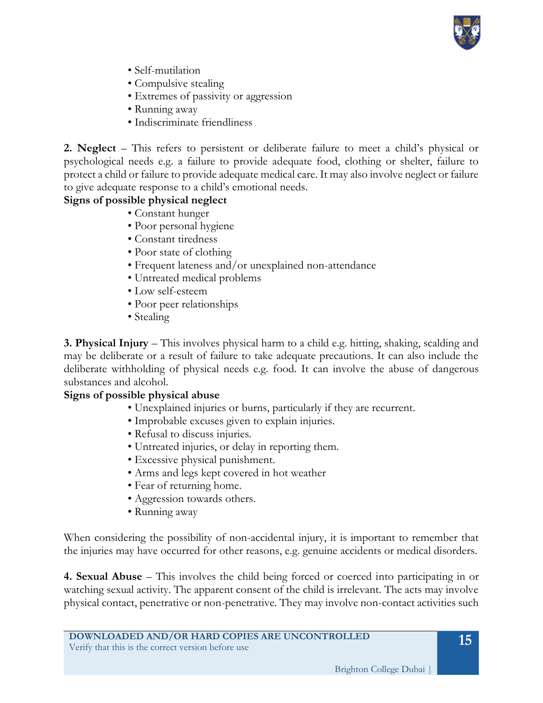

- Self-mutilation
- Compulsive stealing
- Extremes of passivity or aggression
- Running away
- Indiscriminate friendliness

**2. Neglect** – This refers to persistent or deliberate failure to meet a child's physical or psychological needs e.g. a failure to provide adequate food, clothing or shelter, failure to protect a child or failure to provide adequate medical care. It may also involve neglect or failure to give adequate response to a child's emotional needs.

## **Signs of possible physical neglect**

- Constant hunger
- Poor personal hygiene
- Constant tiredness
- Poor state of clothing
- Frequent lateness and/or unexplained non-attendance
- Untreated medical problems
- Low self-esteem
- Poor peer relationships
- Stealing

**3. Physical Injury** – This involves physical harm to a child e.g. hitting, shaking, scalding and may be deliberate or a result of failure to take adequate precautions. It can also include the deliberate withholding of physical needs e.g. food. It can involve the abuse of dangerous substances and alcohol.

## **Signs of possible physical abuse**

- Unexplained injuries or burns, particularly if they are recurrent.
	- Improbable excuses given to explain injuries.
	- Refusal to discuss injuries.
	- Untreated injuries, or delay in reporting them.
	- Excessive physical punishment.
	- Arms and legs kept covered in hot weather
	- Fear of returning home.
	- Aggression towards others.
	- Running away

When considering the possibility of non-accidental injury, it is important to remember that the injuries may have occurred for other reasons, e.g. genuine accidents or medical disorders.

**4. Sexual Abuse** – This involves the child being forced or coerced into participating in or watching sexual activity. The apparent consent of the child is irrelevant. The acts may involve physical contact, penetrative or non-penetrative. They may involve non-contact activities such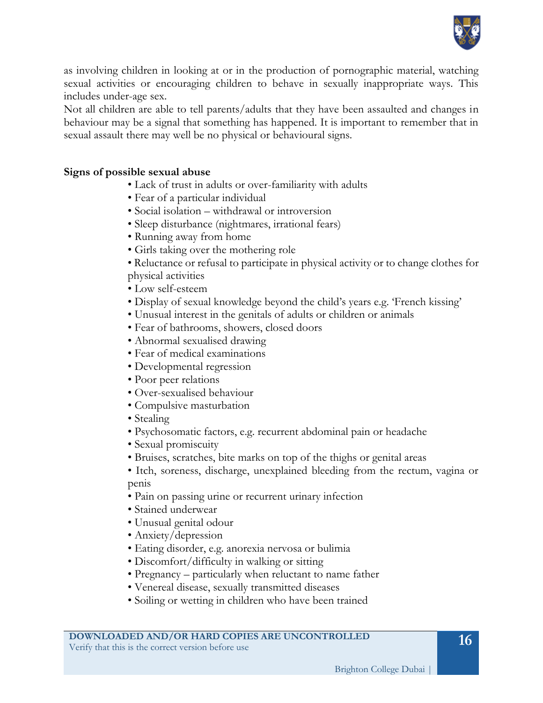

as involving children in looking at or in the production of pornographic material, watching sexual activities or encouraging children to behave in sexually inappropriate ways. This includes under-age sex.

Not all children are able to tell parents/adults that they have been assaulted and changes in behaviour may be a signal that something has happened. It is important to remember that in sexual assault there may well be no physical or behavioural signs.

## **Signs of possible sexual abuse**

- Lack of trust in adults or over-familiarity with adults
- Fear of a particular individual
- Social isolation withdrawal or introversion
- Sleep disturbance (nightmares, irrational fears)
- Running away from home
- Girls taking over the mothering role
- Reluctance or refusal to participate in physical activity or to change clothes for physical activities
- Low self-esteem
- Display of sexual knowledge beyond the child's years e.g. 'French kissing'
- Unusual interest in the genitals of adults or children or animals
- Fear of bathrooms, showers, closed doors
- Abnormal sexualised drawing
- Fear of medical examinations
- Developmental regression
- Poor peer relations
- Over-sexualised behaviour
- Compulsive masturbation
- Stealing
- Psychosomatic factors, e.g. recurrent abdominal pain or headache
- Sexual promiscuity
- Bruises, scratches, bite marks on top of the thighs or genital areas
- Itch, soreness, discharge, unexplained bleeding from the rectum, vagina or penis
- Pain on passing urine or recurrent urinary infection
- Stained underwear
- Unusual genital odour
- Anxiety/depression
- Eating disorder, e.g. anorexia nervosa or bulimia
- Discomfort/difficulty in walking or sitting
- Pregnancy particularly when reluctant to name father
- Venereal disease, sexually transmitted diseases
- Soiling or wetting in children who have been trained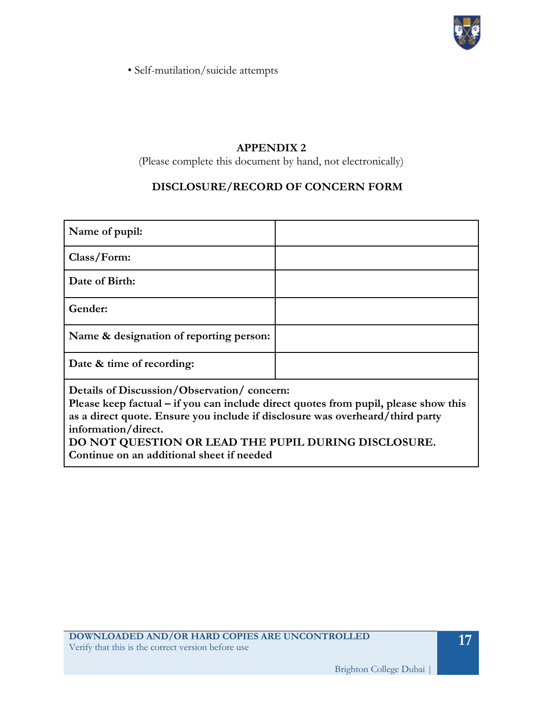

• Self-mutilation/suicide attempts

## **APPENDIX 2**

(Please complete this document by hand, not electronically)

## **DISCLOSURE/RECORD OF CONCERN FORM**

| Name of pupil:                                                                                                                                                                                                                            |  |  |
|-------------------------------------------------------------------------------------------------------------------------------------------------------------------------------------------------------------------------------------------|--|--|
| Class/Form:                                                                                                                                                                                                                               |  |  |
| Date of Birth:                                                                                                                                                                                                                            |  |  |
| Gender:                                                                                                                                                                                                                                   |  |  |
| Name & designation of reporting person:                                                                                                                                                                                                   |  |  |
| Date & time of recording:                                                                                                                                                                                                                 |  |  |
| Details of Discussion/Observation/concern:<br>Please keep factual – if you can include direct quotes from pupil, please show this<br>as a direct quote. Ensure you include if disclosure was overheard/third party<br>information/direct. |  |  |

**DO NOT QUESTION OR LEAD THE PUPIL DURING DISCLOSURE. Continue on an additional sheet if needed**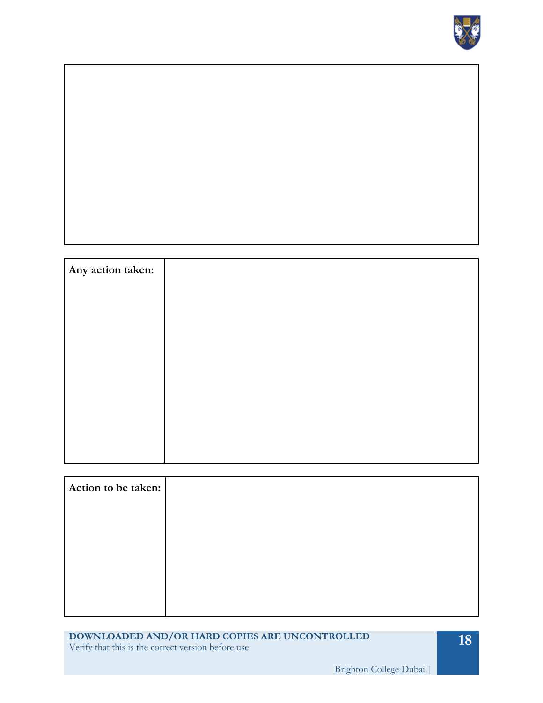

| Any action taken: |  |  |  |
|-------------------|--|--|--|
|                   |  |  |  |
|                   |  |  |  |
|                   |  |  |  |
|                   |  |  |  |
|                   |  |  |  |
|                   |  |  |  |
|                   |  |  |  |
|                   |  |  |  |
|                   |  |  |  |

| Action to be taken: |  |
|---------------------|--|
|                     |  |
|                     |  |
|                     |  |
|                     |  |
|                     |  |

**DOWNLOADED AND/OR HARD COPIES ARE UNCONTROLLED** Verify that this is the correct version before use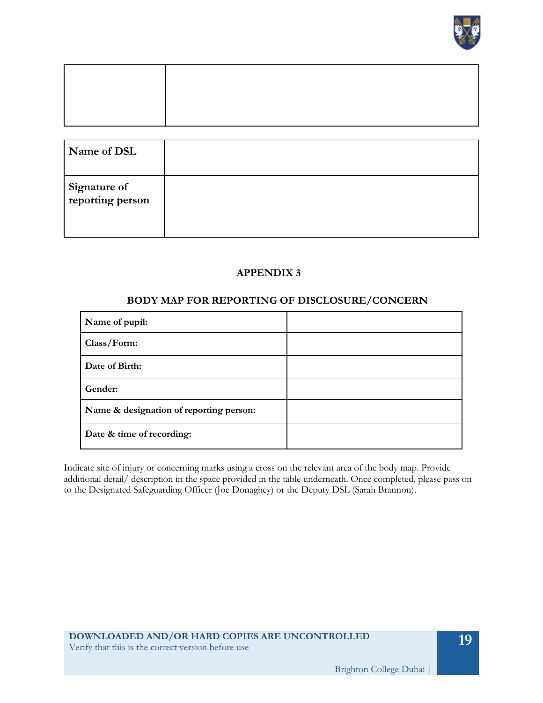

| Name of DSL                      |  |
|----------------------------------|--|
| Signature of<br>reporting person |  |

#### **APPENDIX 3**

#### **BODY MAP FOR REPORTING OF DISCLOSURE/CONCERN**

| Name of pupil:                          |  |
|-----------------------------------------|--|
| Class/Form:                             |  |
| Date of Birth:                          |  |
| Gender:                                 |  |
| Name & designation of reporting person: |  |
| Date & time of recording:               |  |

Indicate site of injury or concerning marks using a cross on the relevant area of the body map. Provide additional detail/ description in the space provided in the table underneath. Once completed, please pass on to the Designated Safeguarding Officer (Joe Donaghey) or the Deputy DSL (Sarah Brannon).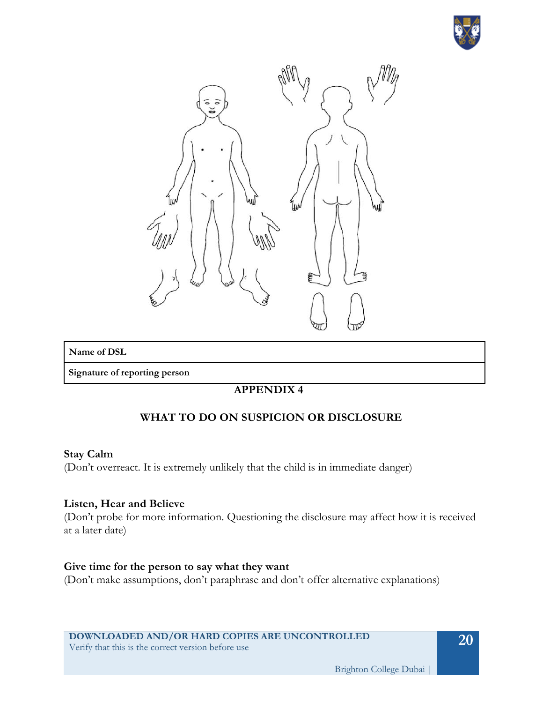



| Name of DSL                   |  |
|-------------------------------|--|
| Signature of reporting person |  |

## **APPENDIX 4**

## **WHAT TO DO ON SUSPICION OR DISCLOSURE**

#### **Stay Calm**

(Don't overreact. It is extremely unlikely that the child is in immediate danger)

#### **Listen, Hear and Believe**

(Don't probe for more information. Questioning the disclosure may affect how it is received at a later date)

#### **Give time for the person to say what they want**

(Don't make assumptions, don't paraphrase and don't offer alternative explanations)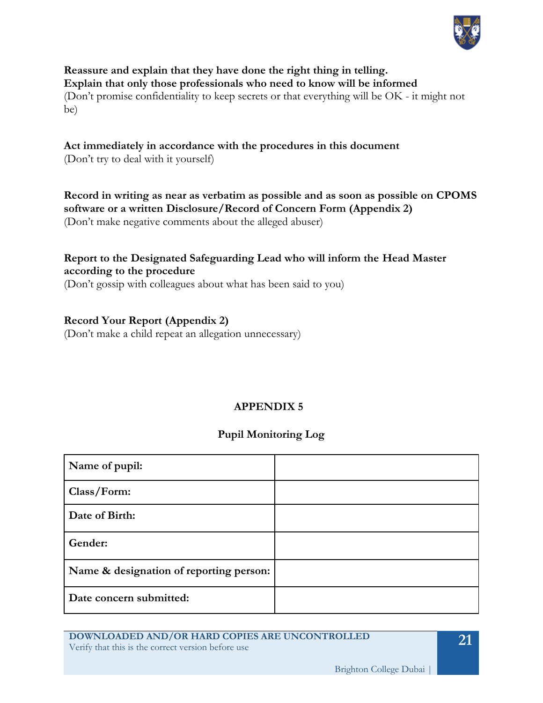

**Reassure and explain that they have done the right thing in telling. Explain that only those professionals who need to know will be informed** (Don't promise confidentiality to keep secrets or that everything will be OK - it might not be)

## **Act immediately in accordance with the procedures in this document**

(Don't try to deal with it yourself)

## **Record in writing as near as verbatim as possible and as soon as possible on CPOMS software or a written Disclosure/Record of Concern Form (Appendix 2)**

(Don't make negative comments about the alleged abuser)

## **Report to the Designated Safeguarding Lead who will inform the Head Master according to the procedure**

(Don't gossip with colleagues about what has been said to you)

## **Record Your Report (Appendix 2)**

(Don't make a child repeat an allegation unnecessary)

## **APPENDIX 5**

## **Pupil Monitoring Log**

| Name of pupil:                          |  |
|-----------------------------------------|--|
| Class/Form:                             |  |
| Date of Birth:                          |  |
| Gender:                                 |  |
| Name & designation of reporting person: |  |
| Date concern submitted:                 |  |

**DOWNLOADED AND/OR HARD COPIES ARE UNCONTROLLED** Verify that this is the correct version before use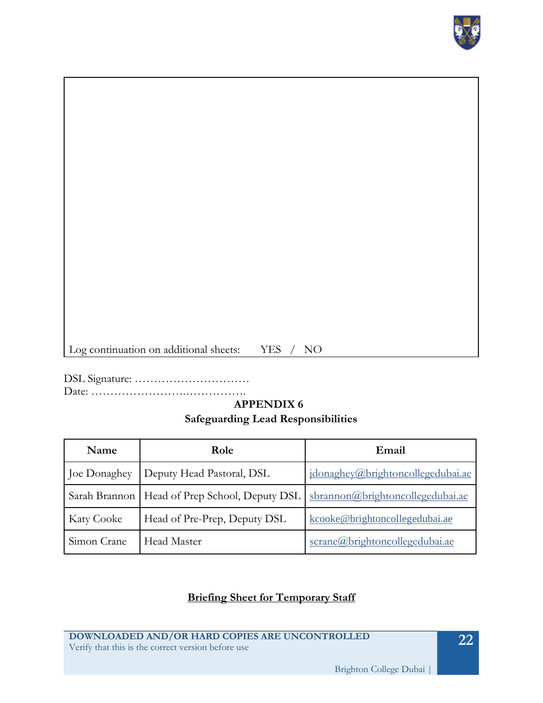

Log continuation on additional sheets: YES / NO

DSL Signature: ………………………… Date: …………………….…………….

# **APPENDIX 6**

## **Safeguarding Lead Responsibilities**

| Name              | Role                                            | Email                             |
|-------------------|-------------------------------------------------|-----------------------------------|
| Joe Donaghey      | Deputy Head Pastoral, DSL                       | jdonaghey@brightoncollegedubai.ae |
|                   | Sarah Brannon   Head of Prep School, Deputy DSL | sbrannon@brightoncollegedubai.ae  |
| <b>Katy Cooke</b> | Head of Pre-Prep, Deputy DSL                    | kcooke@brightoncollegedubai.ae    |
| Simon Crane       | <b>Head Master</b>                              | scrane@brightoncollegedubai.ae    |

## **Briefing Sheet for Temporary Staff**

**DOWNLOADED AND/OR HARD COPIES ARE UNCONTROLLED** Verify that this is the correct version before use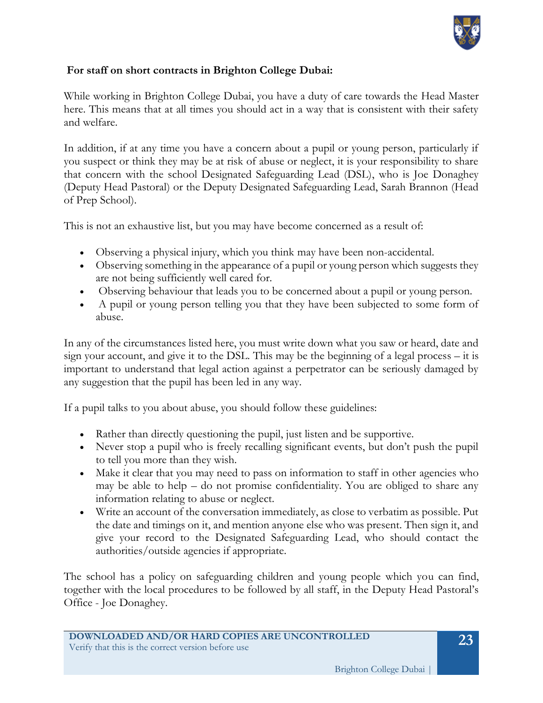

## **For staff on short contracts in Brighton College Dubai:**

While working in Brighton College Dubai, you have a duty of care towards the Head Master here. This means that at all times you should act in a way that is consistent with their safety and welfare.

In addition, if at any time you have a concern about a pupil or young person, particularly if you suspect or think they may be at risk of abuse or neglect, it is your responsibility to share that concern with the school Designated Safeguarding Lead (DSL), who is Joe Donaghey (Deputy Head Pastoral) or the Deputy Designated Safeguarding Lead, Sarah Brannon (Head of Prep School).

This is not an exhaustive list, but you may have become concerned as a result of:

- Observing a physical injury, which you think may have been non-accidental.
- Observing something in the appearance of a pupil or young person which suggests they are not being sufficiently well cared for.
- Observing behaviour that leads you to be concerned about a pupil or young person.
- A pupil or young person telling you that they have been subjected to some form of abuse.

In any of the circumstances listed here, you must write down what you saw or heard, date and sign your account, and give it to the DSL. This may be the beginning of a legal process – it is important to understand that legal action against a perpetrator can be seriously damaged by any suggestion that the pupil has been led in any way.

If a pupil talks to you about abuse, you should follow these guidelines:

- Rather than directly questioning the pupil, just listen and be supportive.
- Never stop a pupil who is freely recalling significant events, but don't push the pupil to tell you more than they wish.
- Make it clear that you may need to pass on information to staff in other agencies who may be able to help – do not promise confidentiality. You are obliged to share any information relating to abuse or neglect.
- Write an account of the conversation immediately, as close to verbatim as possible. Put the date and timings on it, and mention anyone else who was present. Then sign it, and give your record to the Designated Safeguarding Lead, who should contact the authorities/outside agencies if appropriate.

The school has a policy on safeguarding children and young people which you can find, together with the local procedures to be followed by all staff, in the Deputy Head Pastoral's Office - Joe Donaghey.